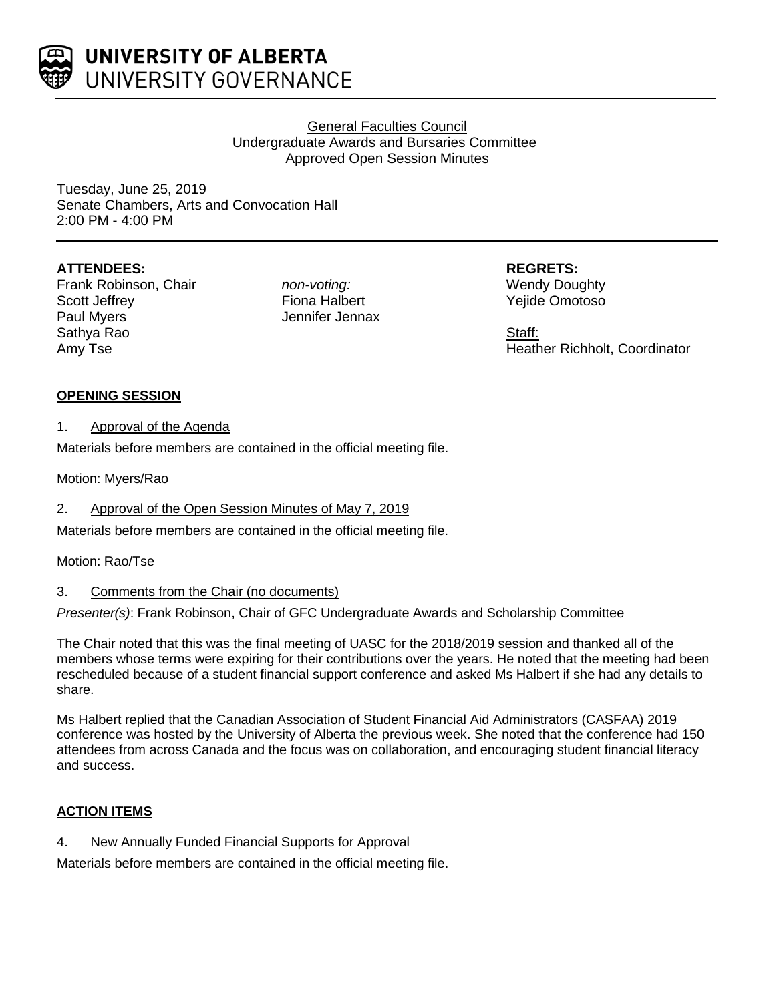

# General Faculties Council Undergraduate Awards and Bursaries Committee Approved Open Session Minutes

Tuesday, June 25, 2019 Senate Chambers, Arts and Convocation Hall 2:00 PM - 4:00 PM

# **ATTENDEES:**

Frank Robinson, Chair Scott Jeffrey Paul Myers Sathya Rao Amy Tse

*non-voting:* Fiona Halbert Jennifer Jennax **REGRETS:** Wendy Doughty Yejide Omotoso

Staff: Heather Richholt, Coordinator

# **OPENING SESSION**

1. Approval of the Agenda

Materials before members are contained in the official meeting file.

Motion: Myers/Rao

2. Approval of the Open Session Minutes of May 7, 2019

Materials before members are contained in the official meeting file.

## Motion: Rao/Tse

# 3. Comments from the Chair (no documents)

*Presenter(s)*: Frank Robinson, Chair of GFC Undergraduate Awards and Scholarship Committee

The Chair noted that this was the final meeting of UASC for the 2018/2019 session and thanked all of the members whose terms were expiring for their contributions over the years. He noted that the meeting had been rescheduled because of a student financial support conference and asked Ms Halbert if she had any details to share.

Ms Halbert replied that the Canadian Association of Student Financial Aid Administrators (CASFAA) 2019 conference was hosted by the University of Alberta the previous week. She noted that the conference had 150 attendees from across Canada and the focus was on collaboration, and encouraging student financial literacy and success.

# **ACTION ITEMS**

4. New Annually Funded Financial Supports for Approval

Materials before members are contained in the official meeting file.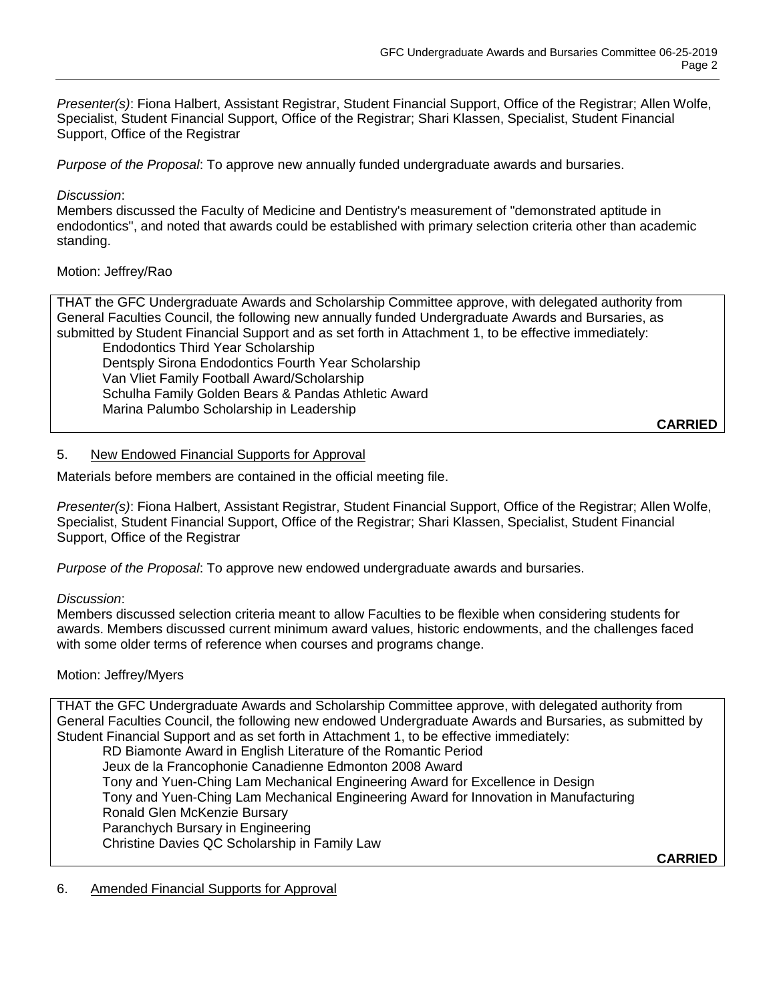*Presenter(s)*: Fiona Halbert, Assistant Registrar, Student Financial Support, Office of the Registrar; Allen Wolfe, Specialist, Student Financial Support, Office of the Registrar; Shari Klassen, Specialist, Student Financial Support, Office of the Registrar

*Purpose of the Proposal*: To approve new annually funded undergraduate awards and bursaries.

## *Discussion*:

Members discussed the Faculty of Medicine and Dentistry's measurement of "demonstrated aptitude in endodontics", and noted that awards could be established with primary selection criteria other than academic standing.

## Motion: Jeffrey/Rao

THAT the GFC Undergraduate Awards and Scholarship Committee approve, with delegated authority from General Faculties Council, the following new annually funded Undergraduate Awards and Bursaries, as submitted by Student Financial Support and as set forth in Attachment 1, to be effective immediately: Endodontics Third Year Scholarship Dentsply Sirona Endodontics Fourth Year Scholarship Van Vliet Family Football Award/Scholarship Schulha Family Golden Bears & Pandas Athletic Award Marina Palumbo Scholarship in Leadership

**CARRIED**

## 5. New Endowed Financial Supports for Approval

Materials before members are contained in the official meeting file.

*Presenter(s)*: Fiona Halbert, Assistant Registrar, Student Financial Support, Office of the Registrar; Allen Wolfe, Specialist, Student Financial Support, Office of the Registrar; Shari Klassen, Specialist, Student Financial Support, Office of the Registrar

*Purpose of the Proposal*: To approve new endowed undergraduate awards and bursaries.

## *Discussion*:

Members discussed selection criteria meant to allow Faculties to be flexible when considering students for awards. Members discussed current minimum award values, historic endowments, and the challenges faced with some older terms of reference when courses and programs change.

## Motion: Jeffrey/Myers

THAT the GFC Undergraduate Awards and Scholarship Committee approve, with delegated authority from General Faculties Council, the following new endowed Undergraduate Awards and Bursaries, as submitted by Student Financial Support and as set forth in Attachment 1, to be effective immediately:

RD Biamonte Award in English Literature of the Romantic Period Jeux de la Francophonie Canadienne Edmonton 2008 Award Tony and Yuen-Ching Lam Mechanical Engineering Award for Excellence in Design Tony and Yuen-Ching Lam Mechanical Engineering Award for Innovation in Manufacturing Ronald Glen McKenzie Bursary Paranchych Bursary in Engineering Christine Davies QC Scholarship in Family Law

**CARRIED**

## 6. Amended Financial Supports for Approval